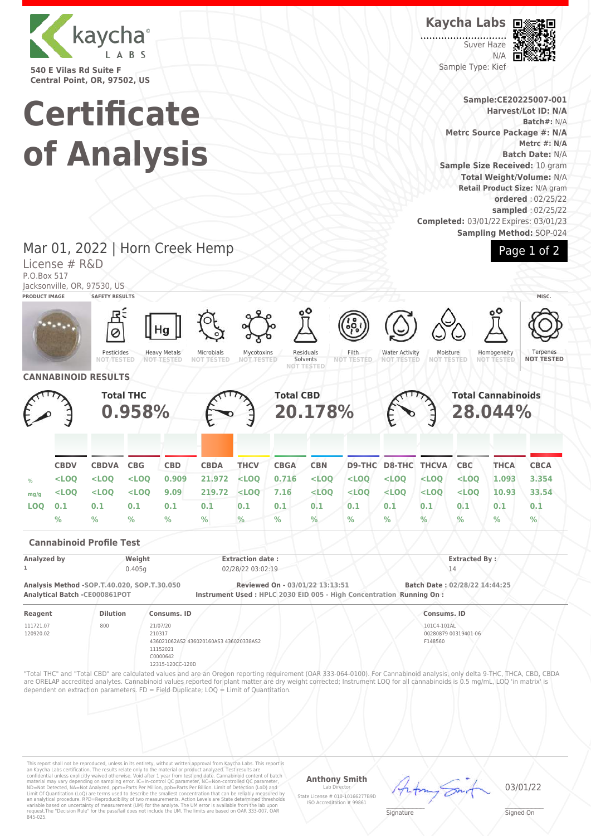

**540 E Vilas Rd Suite F Central Point, OR, 97502, US**

# **Certificate of Analysis**

**Kaycha Labs**

Suver Haze N/A Sample Type: Kief



**Sample:CE20225007-001 Harvest/Lot ID: N/A Batch#:** N/A **Metrc Source Package #: N/A Metrc #: N/A Batch Date:** N/A **Sample Size Received:** 10 gram **Total Weight/Volume:** N/A **Retail Product Size:** N/A gram **ordered** : 02/25/22 **sampled** : 02/25/22 **Completed:** 03/01/22 Expires: 03/01/23 **Sampling Method:** SOP-024



Mar 01, 2022 | Horn Creek Hemp License # R&D

P.O.Box 517

Jacksonville, OR, 97530, US



This report shall not be reproduced, unless in its entirety, without written approval from Kaycha Labs. This report is<br>an Kaycha Labs certification. The results relate only to the material or product analyzed. Test result

## **Anthony Smith**

Lab Director State License # 010-10166277B9D ISO Accreditation # 99861 03/01/22

 $\mathscr{L}\setminus\mathscr{L}$ **Signature** 

Signed On